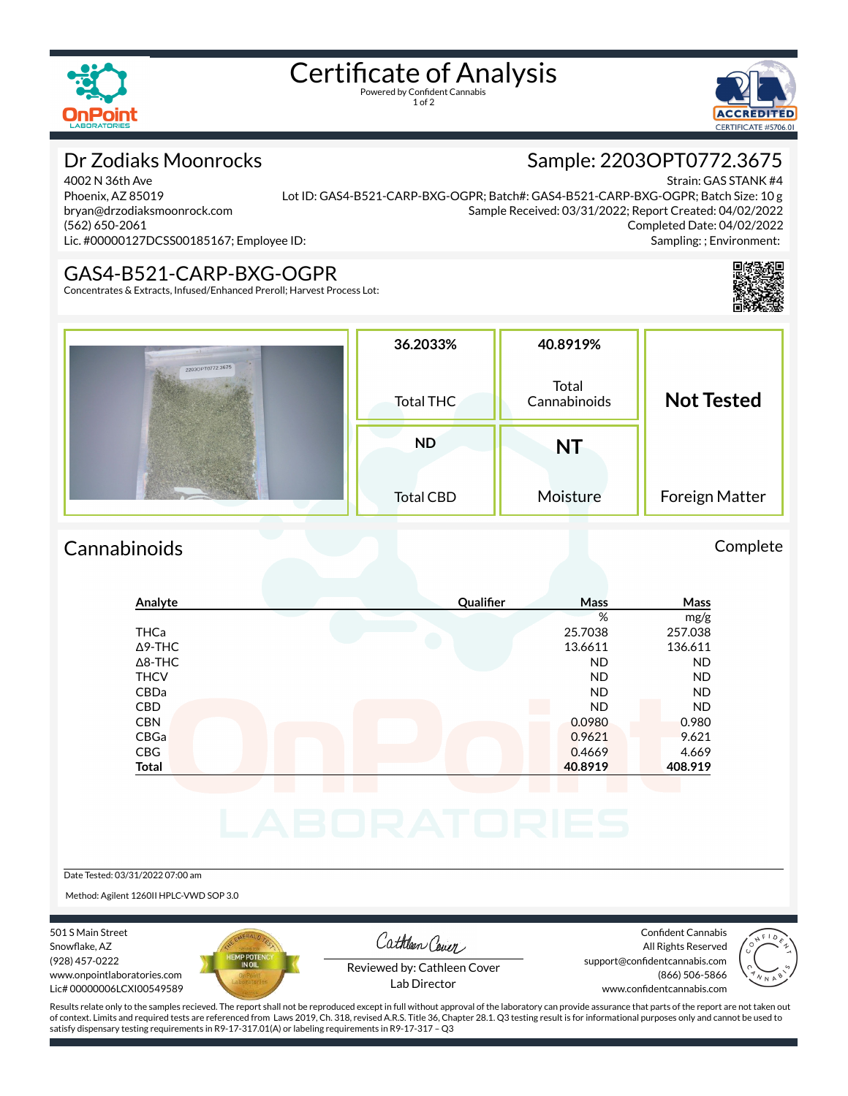

# Certificate of Analysis

1 of 2



Sample: 2203OPT0772.3675

# Dr Zodiaks Moonrocks

4002 N 36th Ave Phoenix, AZ 85019 bryan@drzodiaksmoonrock.com (562) 650-2061 Lic. #00000127DCSS00185167; Employee ID:

Strain: GAS STANK #4 Lot ID: GAS4-B521-CARP-BXG-OGPR; Batch#: GAS4-B521-CARP-BXG-OGPR; Batch Size: 10 g Sample Received: 03/31/2022; Report Created: 04/02/2022 Completed Date: 04/02/2022 Sampling: ; Environment:

#### GAS4-B521-CARP-BXG-OGPR

Concentrates & Extracts, Infused/Enhanced Preroll; Harvest Process Lot:



### Cannabinoids Complete

### **Analyte Quali×er Mass Mass** % mg/g THCa 25.7038 257.038  $\Delta$ 9-THC 136.611 136.611 136.611 136.611 136.611 136.611 136.611 136.611 136.611 136.611 136.611 136.611 136.611 136.611 136.611 136.611 136.611 136.611 136.611 136.611 136.611 137.1 137.1 137.1 137.1 137.1 137.1 137.1 1 Δ8-THC ND ND THCV ND ND CBDa ND ND CBD ND ND CBN 0.980 0.980 0.980 0.980 0.980 0.980 0.980 0.980 0.980 0.980 0.980 0.980 0.980 0.980 0.980 0.980 0.980 0.980 CBGa 0.9621 9.621 CBG 0.4669 4.669 **Total 40.8919 408.919**

Date Tested: 03/31/2022 07:00 am

Method: Agilent 1260II HPLC-VWD SOP 3.0

501 S Main Street Snowflake, AZ (928) 457-0222 www.onpointlaboratories.com Lic# 00000006LCXI00549589



Cathleen Cover

Confident Cannabis All Rights Reserved support@confidentcannabis.com



Reviewed by: Cathleen Cover Lab Director

(866) 506-5866 www.confidentcannabis.com

Results relate only to the samples recieved. The report shall not be reproduced except in full without approval of the laboratory can provide assurance that parts of the report are not taken out of context. Limits and required tests are referenced from Laws 2019, Ch. 318, revised A.R.S. Title 36, Chapter 28.1. Q3 testing result is for informational purposes only and cannot be used to satisfy dispensary testing requirements in R9-17-317.01(A) or labeling requirements in R9-17-317 – Q3